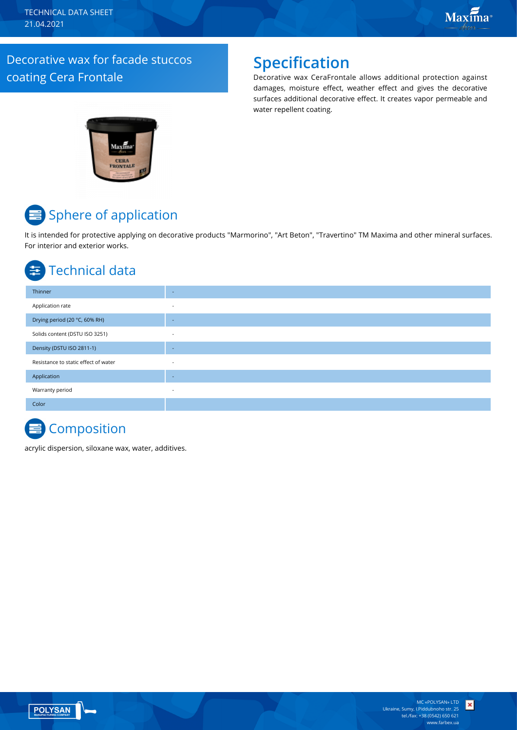### Decorative wax for facade stuccos coating Cera Frontale

## **Specification**

Decorative wax CeraFrontale allows additional protection against damages, moisture effect, weather effect and gives the decorative surfaces additional decorative effect. It creates vapor permeable and water repellent coating.



# **E** Sphere of application

It is intended for protective applying on decorative products "Marmorino", "Art Beton", "Travertino" TM Maxima and other mineral surfaces. For interior and exterior works.

## Technical data

| Thinner                              | $\sim$                   |
|--------------------------------------|--------------------------|
| Application rate                     | $\sim$                   |
| Drying period (20 °C, 60% RH)        | $\overline{\phantom{a}}$ |
| Solids content (DSTU ISO 3251)       | $\overline{\phantom{a}}$ |
| Density (DSTU ISO 2811-1)            | $\overline{\phantom{a}}$ |
| Resistance to static effect of water | $\overline{\phantom{a}}$ |
| Application                          | $\sim$                   |
| Warranty period                      | $\sim$                   |
| Color                                |                          |

## **Composition**

acrylic dispersion, siloxane wax, water, additives.



 $\vert x \vert$